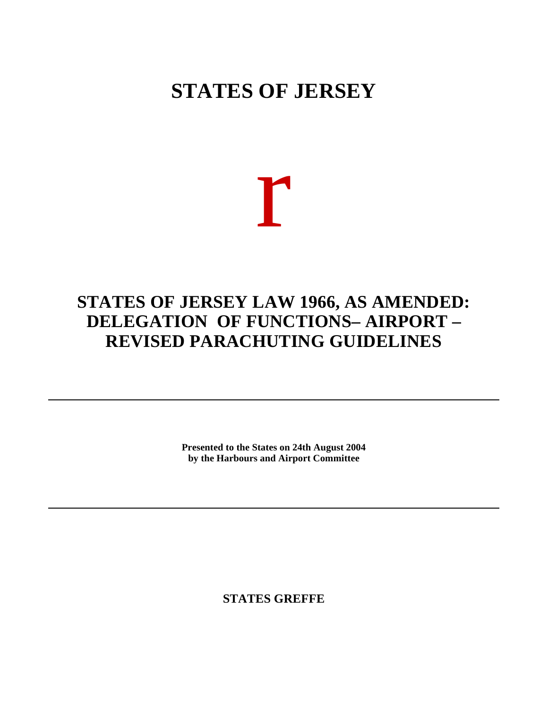## **STATES OF JERSEY**

# r

### **STATES OF JERSEY LAW 1966, AS AMENDED: DELEGATION OF FUNCTIONS – AIRPORT – REVISED PARACHUTING GUIDELINES**

**Presented to the States on 24th August 2004 by the Harbours and Airport Committee**

**STATES GREFFE**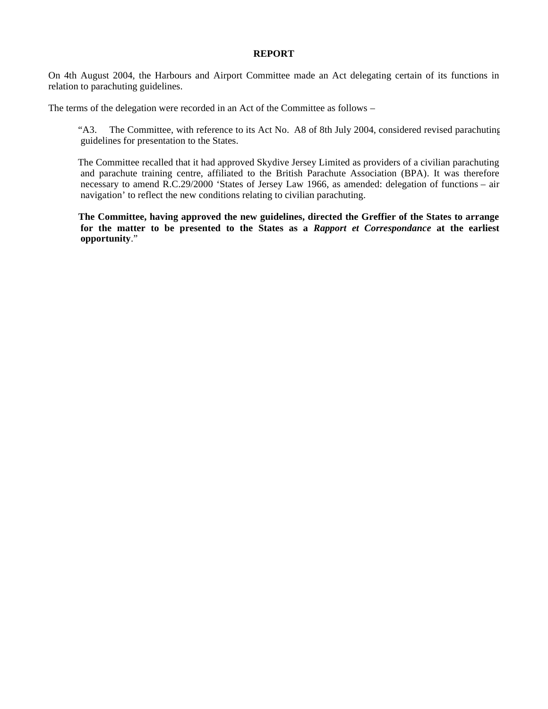#### **REPORT**

On 4th August 2004, the Harbours and Airport Committee made an Act delegating certain of its functions in relation to parachuting guidelines.

The terms of the delegation were recorded in an Act of the Committee as follows –

 "A3. The Committee, with reference to its Act No. A8 of 8th July 2004, considered revised parachuting guidelines for presentation to the States.

 The Committee recalled that it had approved Skydive Jersey Limited as providers of a civilian parachuting and parachute training centre, affiliated to the British Parachute Association (BPA). It was therefore necessary to amend R.C.29/2000 'States of Jersey Law 1966, as amended: delegation of functions – air navigation' to reflect the new conditions relating to civilian parachuting.

 **The Committee, having approved the new guidelines, directed the Greffier of the States to arrange for the matter to be presented to the States as a** *Rapport et Correspondance* **at the earliest opportunity**."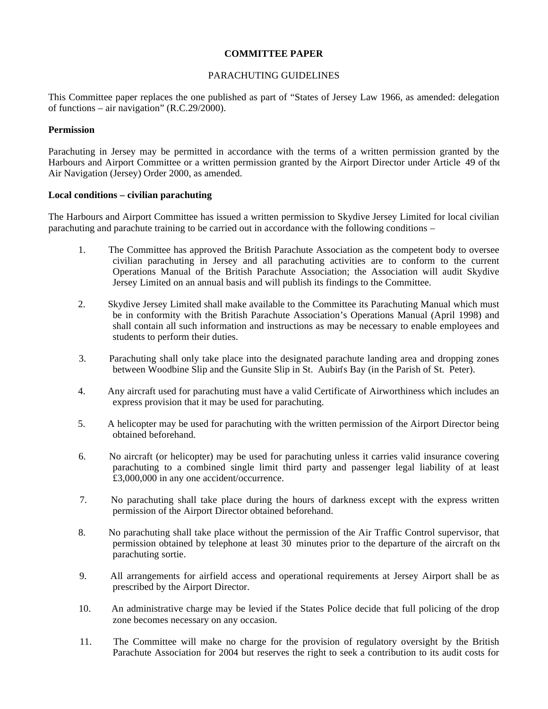#### **COMMITTEE PAPER**

#### PARACHUTING GUIDELINES

This Committee paper replaces the one published as part of "States of Jersey Law 1966, as amended: delegation of functions – air navigation" (R.C.29/2000).

#### **Permission**

Parachuting in Jersey may be permitted in accordance with the terms of a written permission granted by the Harbours and Airport Committee or a written permission granted by the Airport Director under Article 49 of the Air Navigation (Jersey) Order 2000, as amended.

#### **Local conditions – civilian parachuting**

The Harbours and Airport Committee has issued a written permission to Skydive Jersey Limited for local civilian parachuting and parachute training to be carried out in accordance with the following conditions –

- 1. The Committee has approved the British Parachute Association as the competent body to oversee civilian parachuting in Jersey and all parachuting activities are to conform to the current Operations Manual of the British Parachute Association; the Association will audit Skydive Jersey Limited on an annual basis and will publish its findings to the Committee.
- 2. Skydive Jersey Limited shall make available to the Committee its Parachuting Manual which must be in conformity with the British Parachute Association's Operations Manual (April 1998) and shall contain all such information and instructions as may be necessary to enable employees and students to perform their duties.
- 3. Parachuting shall only take place into the designated parachute landing area and dropping zones between Woodbine Slip and the Gunsite Slip in St. Aubin's Bay (in the Parish of St. Peter).
- 4. Any aircraft used for parachuting must have a valid Certificate of Airworthiness which includes an express provision that it may be used for parachuting.
- 5. A helicopter may be used for parachuting with the written permission of the Airport Director being obtained beforehand.
- 6. No aircraft (or helicopter) may be used for parachuting unless it carries valid insurance covering parachuting to a combined single limit third party and passenger legal liability of at least £3,000,000 in any one accident/occurrence.
- 7. No parachuting shall take place during the hours of darkness except with the express written permission of the Airport Director obtained beforehand.
- 8. No parachuting shall take place without the permission of the Air Traffic Control supervisor, that permission obtained by telephone at least 30 minutes prior to the departure of the aircraft on the parachuting sortie.
- 9. All arrangements for airfield access and operational requirements at Jersey Airport shall be as prescribed by the Airport Director.
- 10. An administrative charge may be levied if the States Police decide that full policing of the drop zone becomes necessary on any occasion.
- 11. The Committee will make no charge for the provision of regulatory oversight by the British Parachute Association for 2004 but reserves the right to seek a contribution to its audit costs for